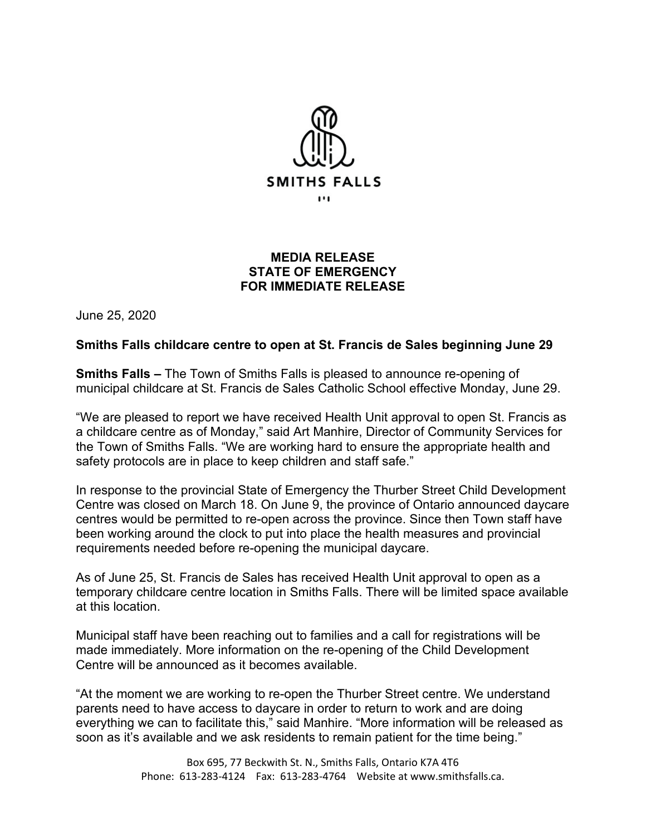

## **MEDIA RELEASE STATE OF EMERGENCY FOR IMMEDIATE RELEASE**

June 25, 2020

## **Smiths Falls childcare centre to open at St. Francis de Sales beginning June 29**

**Smiths Falls –** The Town of Smiths Falls is pleased to announce re-opening of municipal childcare at St. Francis de Sales Catholic School effective Monday, June 29.

"We are pleased to report we have received Health Unit approval to open St. Francis as a childcare centre as of Monday," said Art Manhire, Director of Community Services for the Town of Smiths Falls. "We are working hard to ensure the appropriate health and safety protocols are in place to keep children and staff safe."

In response to the provincial State of Emergency the Thurber Street Child Development Centre was closed on March 18. On June 9, the province of Ontario announced daycare centres would be permitted to re-open across the province. Since then Town staff have been working around the clock to put into place the health measures and provincial requirements needed before re-opening the municipal daycare.

As of June 25, St. Francis de Sales has received Health Unit approval to open as a temporary childcare centre location in Smiths Falls. There will be limited space available at this location.

Municipal staff have been reaching out to families and a call for registrations will be made immediately. More information on the re-opening of the Child Development Centre will be announced as it becomes available.

"At the moment we are working to re-open the Thurber Street centre. We understand parents need to have access to daycare in order to return to work and are doing everything we can to facilitate this," said Manhire. "More information will be released as soon as it's available and we ask residents to remain patient for the time being."

> Box 695, 77 Beckwith St. N., Smiths Falls, Ontario K7A 4T6 Phone: 613-283-4124 Fax: 613-283-4764 Website at www.smithsfalls.ca.